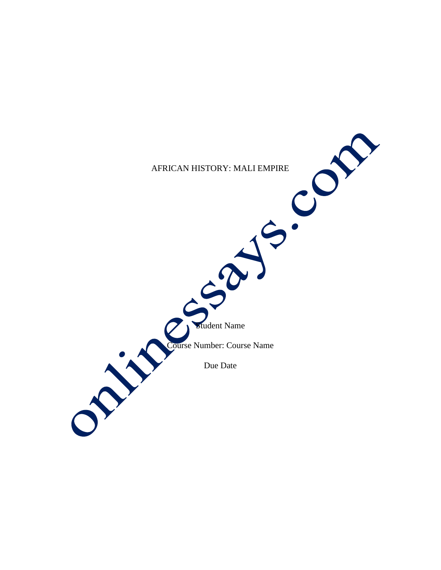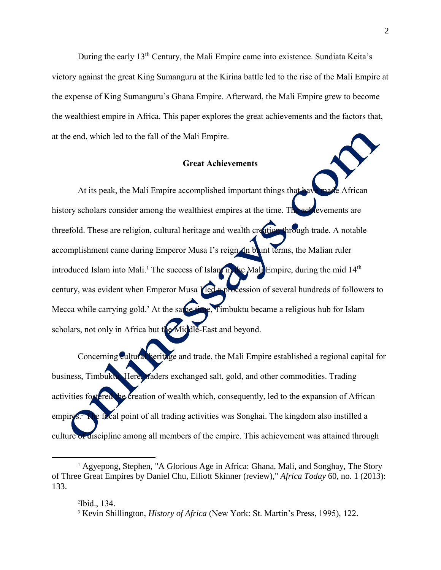During the early 13<sup>th</sup> Century, the Mali Empire came into existence. Sundiata Keita's victory against the great King Sumanguru at the Kirina battle led to the rise of the Mali Empire at the expense of King Sumanguru's Ghana Empire. Afterward, the Mali Empire grew to become the wealthiest empire in Africa. This paper explores the great achievements and the factors that, at the end, which led to the fall of the Mali Empire.

## **Great Achievements**

At its peak, the Mali Empire accomplished important things that have made African history scholars consider among the wealthiest empires at the time. The achievements are threefold. These are religion, cultural heritage and wealth creation through trade. A notable accomplishment came during Emperor Musa I's reign. In blunt terms, the Malian ruler introduced Islam into Mali.<sup>1</sup> The success of Islam in the Mali Empire, during the mid  $14<sup>th</sup>$ century, was evident when Emperor Musa **I led a procession** of several hundreds of followers to Mecca while carrying gold.<sup>2</sup> At the same time, Timbuktu became a religious hub for Islam scholars, not only in Africa but the Middle-East and beyond.

Concerning cultural heritage and trade, the Mali Empire established a regional capital for business, Timbuktu. Here, traders exchanged salt, gold, and other commodities. Trading activities fostered the creation of wealth which, consequently, led to the expansion of African empire <sup>3</sup> The focal point of all trading activities was Songhai. The kingdom also instilled a culture of discipline among all members of the empire. This achievement was attained through

 $\overline{\phantom{a}}$ 

<sup>&</sup>lt;sup>1</sup> Agyepong, Stephen, "A Glorious Age in Africa: Ghana, Mali, and Songhay, The Story of Three Great Empires by Daniel Chu, Elliott Skinner (review)," *Africa Today* 60, no. 1 (2013): 133.

<sup>2</sup> Ibid., 134.

<sup>3</sup> Kevin Shillington, *History of Africa* (New York: St. Martin's Press, 1995), 122.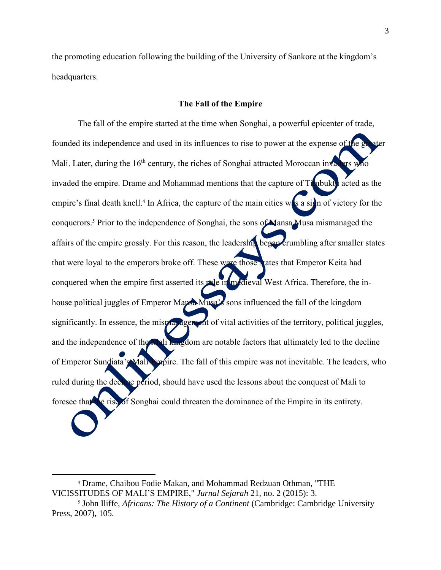the promoting education following the building of the University of Sankore at the kingdom's headquarters.

## **The Fall of the Empire**

The fall of the empire started at the time when Songhai, a powerful epicenter of trade, founded its independence and used in its influences to rise to power at the expense of the g Mali. Later, during the  $16<sup>th</sup>$  century, the riches of Songhai attracted Moroccan invaders who invaded the empire. Drame and Mohammad mentions that the capture of Timbuktu acted as the empire's final death knell.<sup>4</sup> In Africa, the capture of the main cities was a sign of victory for the conquerors.<sup>5</sup> Prior to the independence of Songhai, the sons of Mansa Musa mismanaged the affairs of the empire grossly. For this reason, the leadership began crumbling after smaller states that were loyal to the emperors broke off. These were those states that Emperor Keita had conquered when the empire first asserted its rule in medieval West Africa. Therefore, the inhouse political juggles of Emperor Mansa Musa's sons influenced the fall of the kingdom significantly. In essence, the mismanagement of vital activities of the territory, political juggles, and the independence of the Mali kingdom are notable factors that ultimately led to the decline of Emperor Sundiata's Mali Empire. The fall of this empire was not inevitable. The leaders, who ruled during the decline period, should have used the lessons about the conquest of Mali to foresee that the rise of Songhai could threaten the dominance of the Empire in its entirety.

 $\overline{a}$ 

<sup>4</sup> Drame, Chaibou Fodie Makan, and Mohammad Redzuan Othman, "THE VICISSITUDES OF MALI'S EMPIRE," *Jurnal Sejarah* 21, no. 2 (2015): 3.

<sup>5</sup> John Iliffe, *Africans: The History of a Continent* (Cambridge: Cambridge University Press, 2007), 105.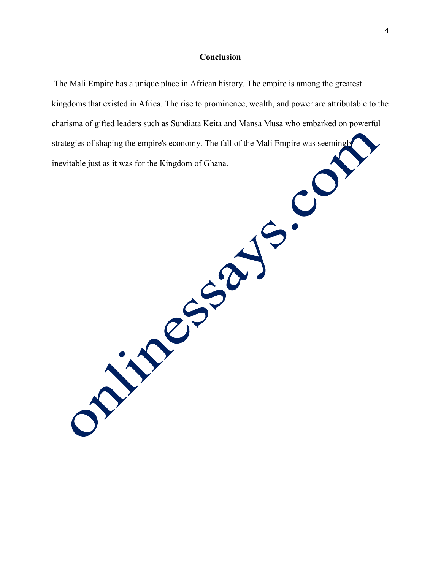## **Conclusion**

The Mali Empire has a unique place in African history. The empire is among the greatest kingdoms that existed in Africa. The rise to prominence, wealth, and power are attributable to the charisma of gifted leaders such as Sundiata Keita and Mansa Musa who embarked on powerful strategies of shaping the empire's economy. The fall of the Mali Empire was seemingly inevitable just as it was for the Kingdom of Ghana.

**Prince SSO**